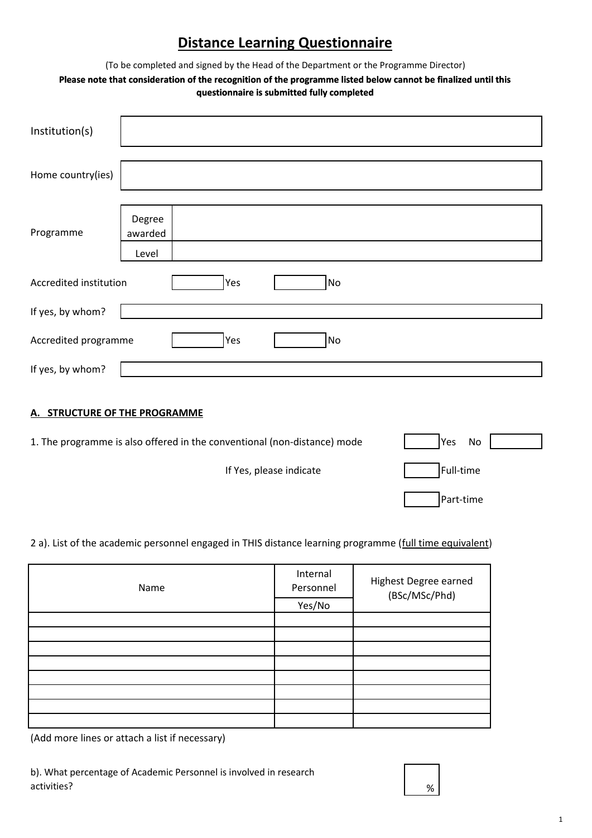## **Distance Learning Questionnaire**

(To be completed and signed by the Head of the Department or the Programme Director)

## **Please note that consideration of the recognition of the programme listed below cannot be finalized until this questionnaire is submitted fully completed**

| Institution(s)                |                            |     |           |  |  |
|-------------------------------|----------------------------|-----|-----------|--|--|
| Home country(ies)             |                            |     |           |  |  |
| Programme                     | Degree<br>awarded<br>Level |     |           |  |  |
| Accredited institution        |                            | Yes | <b>No</b> |  |  |
| If yes, by whom?              |                            |     |           |  |  |
| Accredited programme          |                            | Yes | No        |  |  |
| If yes, by whom?              |                            |     |           |  |  |
| A. STRUCTURE OF THE PROGRAMME |                            |     |           |  |  |

| 1. The programme is also offered in the conventional (non-distance) mode | lYes<br>No. |
|--------------------------------------------------------------------------|-------------|
| If Yes, please indicate                                                  | Full-time   |
|                                                                          | Part-time   |

2 a). List of the academic personnel engaged in THIS distance learning programme (full time equivalent)

| Name | Internal<br>Personnel<br>Yes/No | Highest Degree earned<br>(BSc/MSc/Phd) |  |
|------|---------------------------------|----------------------------------------|--|
|      |                                 |                                        |  |
|      |                                 |                                        |  |
|      |                                 |                                        |  |
|      |                                 |                                        |  |
|      |                                 |                                        |  |
|      |                                 |                                        |  |
|      |                                 |                                        |  |
|      |                                 |                                        |  |

(Add more lines or attach a list if necessary)

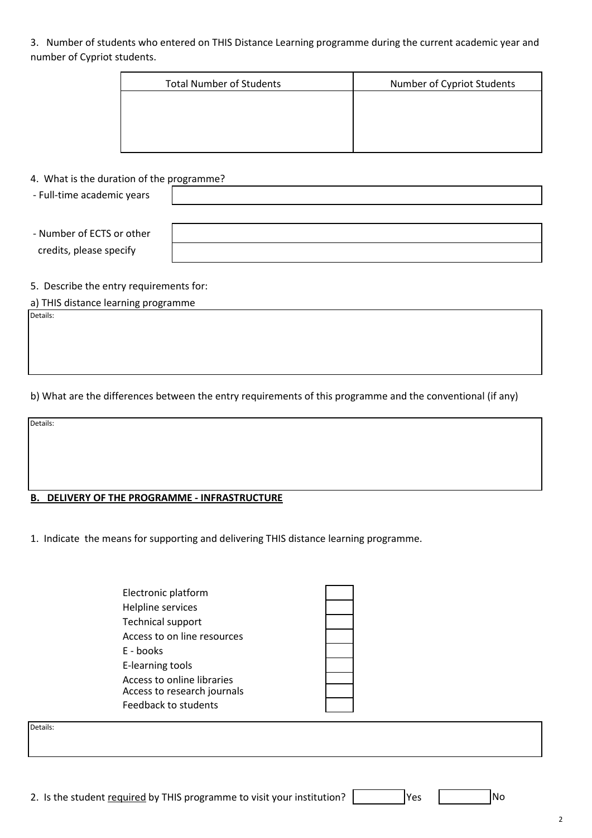3. Number of students who entered on THIS Distance Learning programme during the current academic year and number of Cypriot students.

| <b>Total Number of Students</b> | Number of Cypriot Students |
|---------------------------------|----------------------------|
|                                 |                            |
|                                 |                            |
|                                 |                            |

4. What is the duration of the programme?

- Full-time academic years
- Number of ECTS or other credits, please specify

5. Describe the entry requirements for:

a) THIS distance learning programme

Details:

b) What are the differences between the entry requirements of this programme and the conventional (if any)

Details:

## **B. DELIVERY OF THE PROGRAMME - INFRASTRUCTURE**

1. Indicate the means for supporting and delivering THIS distance learning programme.

| Electronic platform                                                               |
|-----------------------------------------------------------------------------------|
| Helpline services                                                                 |
| <b>Technical support</b>                                                          |
| Access to on line resources                                                       |
| E - books                                                                         |
| E-learning tools                                                                  |
| Access to online libraries<br>Access to research journals<br>Feedback to students |

Details:

2. Is the student required by THIS programme to visit your institution?  $\vert$  Yes  $\vert$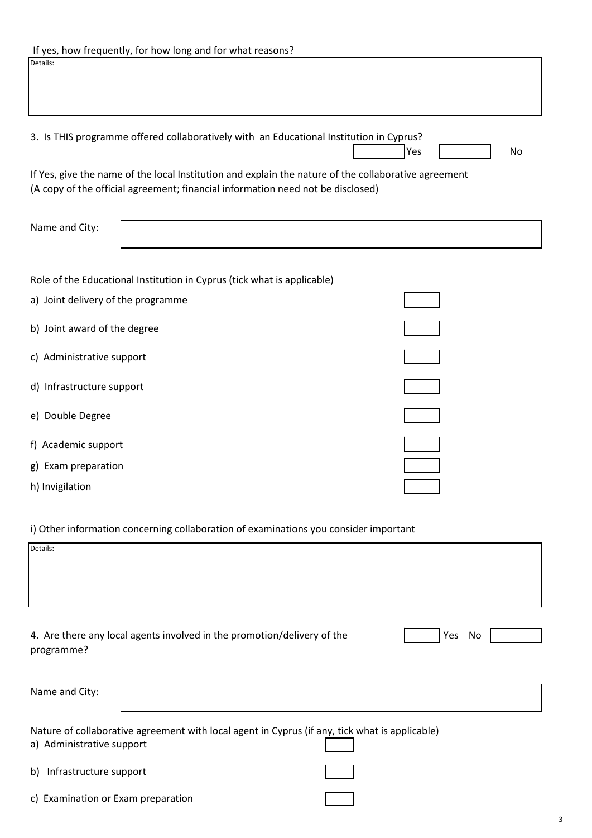| 3. Is THIS programme offered collaboratively with an Educational Institution in Cyprus?                                                                                                 | Yes<br>No |
|-----------------------------------------------------------------------------------------------------------------------------------------------------------------------------------------|-----------|
| If Yes, give the name of the local Institution and explain the nature of the collaborative agreement<br>(A copy of the official agreement; financial information need not be disclosed) |           |
| Name and City:                                                                                                                                                                          |           |
| Role of the Educational Institution in Cyprus (tick what is applicable)                                                                                                                 |           |
| a) Joint delivery of the programme                                                                                                                                                      |           |
| b) Joint award of the degree                                                                                                                                                            |           |
| c) Administrative support                                                                                                                                                               |           |
| d) Infrastructure support                                                                                                                                                               |           |
| e) Double Degree                                                                                                                                                                        |           |
| f) Academic support                                                                                                                                                                     |           |
| g) Exam preparation                                                                                                                                                                     |           |
| h) Invigilation                                                                                                                                                                         |           |

i) Other information concerning collaboration of examinations you consider important

| Details:                           |                                                                                                |           |
|------------------------------------|------------------------------------------------------------------------------------------------|-----------|
|                                    |                                                                                                |           |
| programme?                         | 4. Are there any local agents involved in the promotion/delivery of the                        | Yes<br>No |
| Name and City:                     |                                                                                                |           |
| a) Administrative support          | Nature of collaborative agreement with local agent in Cyprus (if any, tick what is applicable) |           |
| Infrastructure support<br>b)       |                                                                                                |           |
| c) Examination or Exam preparation |                                                                                                |           |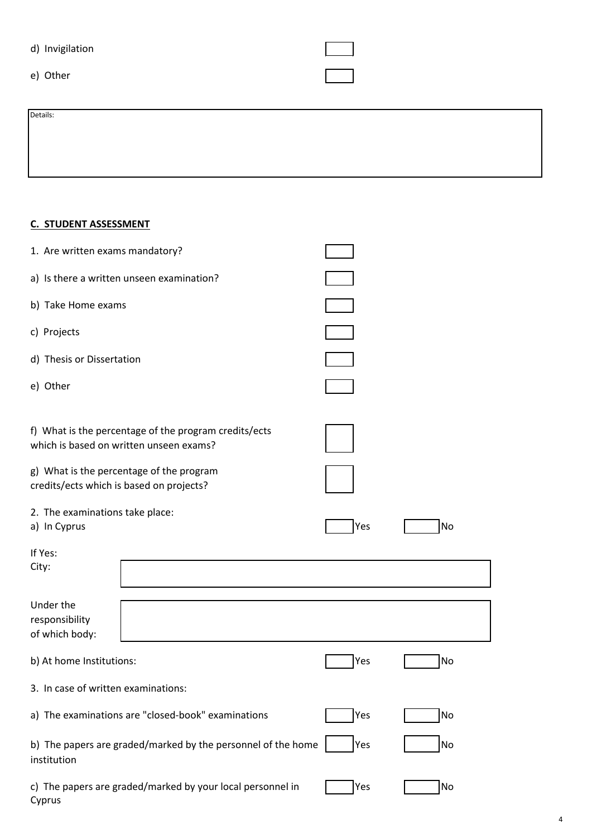| d) Invigilation |  |
|-----------------|--|
|-----------------|--|

e) Other

Details:

**C. STUDENT ASSESSMENT**

| 1. Are written exams mandatory?                                                      |                                                            |     |           |
|--------------------------------------------------------------------------------------|------------------------------------------------------------|-----|-----------|
| a) Is there a written unseen examination?                                            |                                                            |     |           |
| b) Take Home exams                                                                   |                                                            |     |           |
| c) Projects                                                                          |                                                            |     |           |
| d) Thesis or Dissertation                                                            |                                                            |     |           |
| e) Other                                                                             |                                                            |     |           |
| which is based on written unseen exams?                                              | f) What is the percentage of the program credits/ects      |     |           |
| g) What is the percentage of the program<br>credits/ects which is based on projects? |                                                            |     |           |
| 2. The examinations take place:<br>a) In Cyprus                                      |                                                            | Yes | <b>No</b> |
| If Yes:<br>City:                                                                     |                                                            |     |           |
| Under the<br>responsibility<br>of which body:                                        |                                                            |     |           |
| b) At home Institutions:                                                             |                                                            | Yes | No        |
| 3. In case of written examinations:                                                  |                                                            |     |           |
|                                                                                      | a) The examinations are "closed-book" examinations         | Yes | No        |
| b) The papers are graded/marked by the personnel of the home<br>institution          |                                                            | Yes | No        |
| Cyprus                                                                               | c) The papers are graded/marked by your local personnel in | Yes | No        |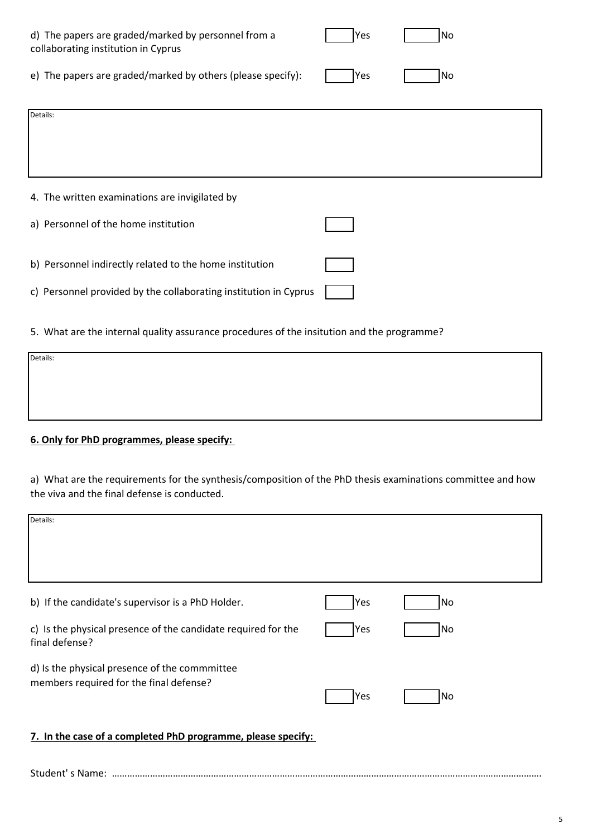| d) The papers are graded/marked by personnel from a<br>collaborating institution in Cyprus | Yes | <b>No</b> |
|--------------------------------------------------------------------------------------------|-----|-----------|
| e) The papers are graded/marked by others (please specify):                                | Yes | <b>No</b> |
| Details:                                                                                   |     |           |
|                                                                                            |     |           |
|                                                                                            |     |           |
| 4. The written examinations are invigilated by                                             |     |           |
| a) Personnel of the home institution                                                       |     |           |
|                                                                                            |     |           |
| b) Personnel indirectly related to the home institution                                    |     |           |
| c) Personnel provided by the collaborating institution in Cyprus                           |     |           |

5. What are the internal quality assurance procedures of the insitution and the programme?

| Details: |  |  |
|----------|--|--|
|          |  |  |
|          |  |  |
|          |  |  |
|          |  |  |

## **6. Only for PhD programmes, please specify:**

a) What are the requirements for the synthesis/composition of the PhD thesis examinations committee and how the viva and the final defense is conducted.

| Details:                                                                        |     |           |
|---------------------------------------------------------------------------------|-----|-----------|
|                                                                                 |     |           |
|                                                                                 |     |           |
| b) If the candidate's supervisor is a PhD Holder.                               | Yes | <b>No</b> |
| c) Is the physical presence of the candidate required for the<br>final defense? | Yes | <b>No</b> |
| d) Is the physical presence of the commmittee                                   |     |           |
| members required for the final defense?                                         | Yes | No        |
| 7. In the case of a completed PhD programme, please specify:                    |     |           |
|                                                                                 |     |           |